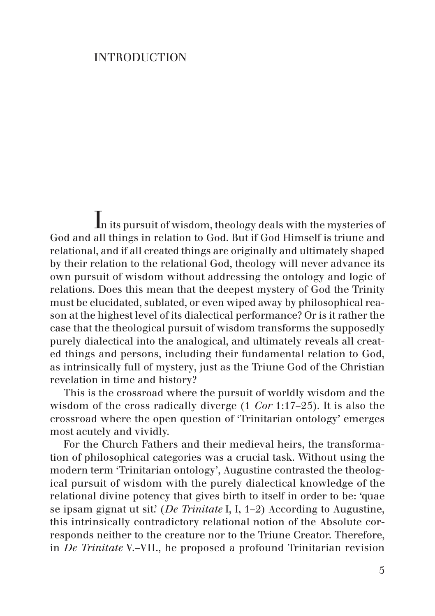## **INTRODUCTION**

In its pursuit of wisdom, theology deals with the mysteries of God and all things in relation to God. But if God Himself is triune and relational, and if all created things are originally and ultimately shaped by their relation to the relational God, theology will never advance its own pursuit of wisdom without addressing the ontology and logic of relations. Does this mean that the deepest mystery of God the Trinity must be elucidated, sublated, or even wiped away by philosophical reason at the highest level of its dialectical performance? Or is it rather the case that the theological pursuit of wisdom transforms the supposedly purely dialectical into the analogical, and ultimately reveals all created things and persons, including their fundamental relation to God, as intrinsically full of mystery, just as the Triune God of the Christian revelation in time and history?

This is the crossroad where the pursuit of worldly wisdom and the wisdom of the cross radically diverge (1 *Cor* 1:17–25). It is also the crossroad where the open question of 'Trinitarian ontology' emerges most acutely and vividly.

For the Church Fathers and their medieval heirs, the transformation of philosophical categories was a crucial task. Without using the modern term 'Trinitarian ontology', Augustine contrasted the theological pursuit of wisdom with the purely dialectical knowledge of the relational divine potency that gives birth to itself in order to be: 'quae se ipsam gignat ut sit.' (*De Trinitate* I, I, 1–2) According to Augustine, this intrinsically contradictory relational notion of the Absolute corresponds neither to the creature nor to the Triune Creator. Therefore, in *De Trinitate* V.–VII., he proposed a profound Trinitarian revision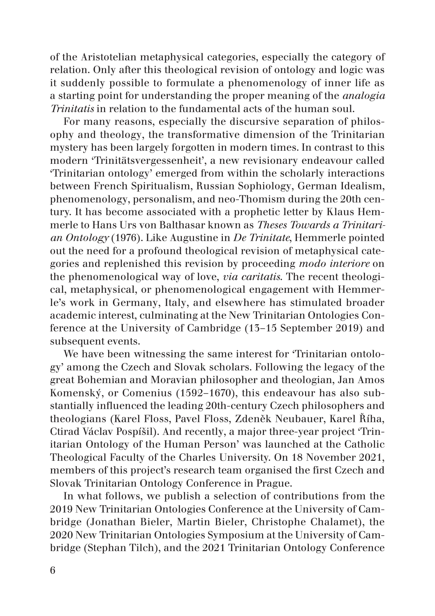of the Aristotelian metaphysical categories, especially the category of relation. Only after this theological revision of ontology and logic was it suddenly possible to formulate a phenomenology of inner life as a starting point for understanding the proper meaning of the *analogia Trinitatis* in relation to the fundamental acts of the human soul.

For many reasons, especially the discursive separation of philosophy and theology, the transformative dimension of the Trinitarian mystery has been largely forgotten in modern times. In contrast to this modern 'Trinitätsvergessenheit', a new revisionary endeavour called 'Trinitarian ontology' emerged from within the scholarly interactions between French Spiritualism, Russian Sophiology, German Idealism, phenomenology, personalism, and neo-Thomism during the 20th century. It has become associated with a prophetic letter by Klaus Hemmerle to Hans Urs von Balthasar known as *Theses Towards a Trinitarian Ontology* (1976). Like Augustine in *De Trinitate*, Hemmerle pointed out the need for a profound theological revision of metaphysical categories and replenished this revision by proceeding *modo interiore* on the phenomenological way of love, *via caritatis*. The recent theological, metaphysical, or phenomenological engagement with Hemmerle's work in Germany, Italy, and elsewhere has stimulated broader academic interest, culminating at the New Trinitarian Ontologies Conference at the University of Cambridge (13–15 September 2019) and subsequent events.

We have been witnessing the same interest for 'Trinitarian ontology' among the Czech and Slovak scholars. Following the legacy of the great Bohemian and Moravian philosopher and theologian, Jan Amos Komenský, or Comenius (1592–1670), this endeavour has also substantially influenced the leading 20th-century Czech philosophers and theologians (Karel Floss, Pavel Floss, Zdeněk Neubauer, Karel Říha, Ctirad Václav Pospíšil). And recently, a major three-year project 'Trinitarian Ontology of the Human Person' was launched at the Catholic Theological Faculty of the Charles University. On 18 November 2021, members of this project's research team organised the first Czech and Slovak Trinitarian Ontology Conference in Prague.

In what follows, we publish a selection of contributions from the 2019 New Trinitarian Ontologies Conference at the University of Cambridge (Jonathan Bieler, Martin Bieler, Christophe Chalamet), the 2020 New Trinitarian Ontologies Symposium at the University of Cambridge (Stephan Tilch), and the 2021 Trinitarian Ontology Conference